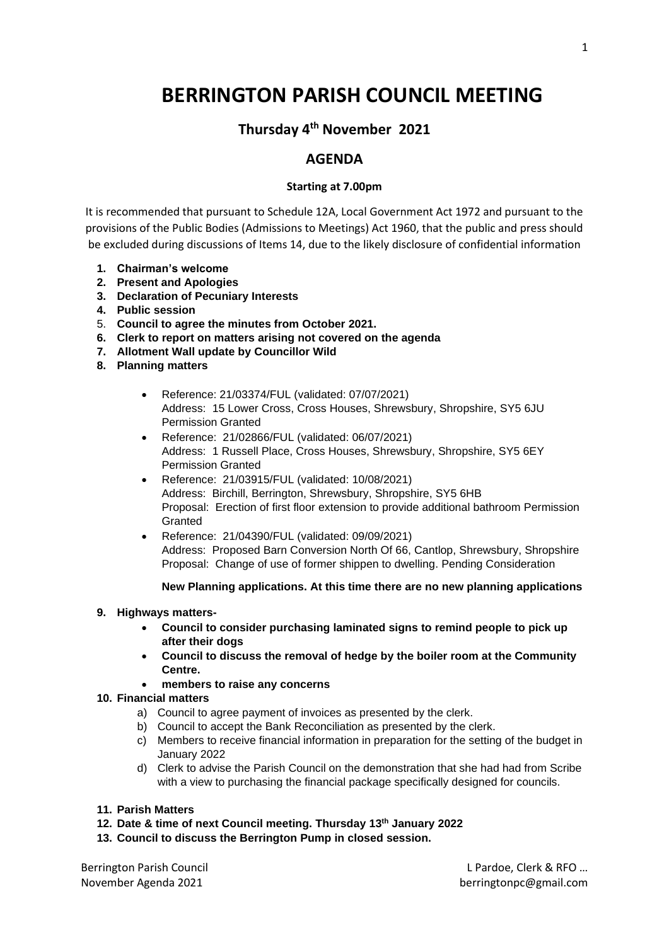# **BERRINGTON PARISH COUNCIL MEETING**

## **Thursday 4 th November 2021**

### **AGENDA**

#### **Starting at 7.00pm**

It is recommended that pursuant to Schedule 12A, Local Government Act 1972 and pursuant to the provisions of the Public Bodies (Admissions to Meetings) Act 1960, that the public and press should be excluded during discussions of Items 14, due to the likely disclosure of confidential information

- **1. Chairman's welcome**
- **2. Present and Apologies**
- **3. Declaration of Pecuniary Interests**
- **4. Public session**
- 5. **Council to agree the minutes from October 2021.**
- **6. Clerk to report on matters arising not covered on the agenda**
- **7. Allotment Wall update by Councillor Wild**
- **8. Planning matters**
	- Reference: 21/03374/FUL (validated: 07/07/2021) Address: 15 Lower Cross, Cross Houses, Shrewsbury, Shropshire, SY5 6JU Permission Granted
	- Reference: 21/02866/FUL (validated: 06/07/2021) Address: 1 Russell Place, Cross Houses, Shrewsbury, Shropshire, SY5 6EY Permission Granted
	- Reference: 21/03915/FUL (validated: 10/08/2021) Address: Birchill, Berrington, Shrewsbury, Shropshire, SY5 6HB Proposal: Erection of first floor extension to provide additional bathroom Permission Granted
	- Reference: 21/04390/FUL (validated: 09/09/2021) Address: Proposed Barn Conversion North Of 66, Cantlop, Shrewsbury, Shropshire Proposal: Change of use of former shippen to dwelling. Pending Consideration

#### **New Planning applications. At this time there are no new planning applications**

#### **9. Highways matters-**

- **Council to consider purchasing laminated signs to remind people to pick up after their dogs**
- **Council to discuss the removal of hedge by the boiler room at the Community Centre.**
- **members to raise any concerns**

#### **10. Financial matters**

- a) Council to agree payment of invoices as presented by the clerk.
- b) Council to accept the Bank Reconciliation as presented by the clerk.
- c) Members to receive financial information in preparation for the setting of the budget in January 2022
- d) Clerk to advise the Parish Council on the demonstration that she had had from Scribe with a view to purchasing the financial package specifically designed for councils.
- **11. Parish Matters**
- **12. Date & time of next Council meeting. Thursday 13th January 2022**
- **13. Council to discuss the Berrington Pump in closed session.**

Berrington Parish Council **Let a Council Let a Council** Let a Let a Let a Let a Let a Let a Let a Let a Let a Le November Agenda 2021 berringtonpc@gmail.com